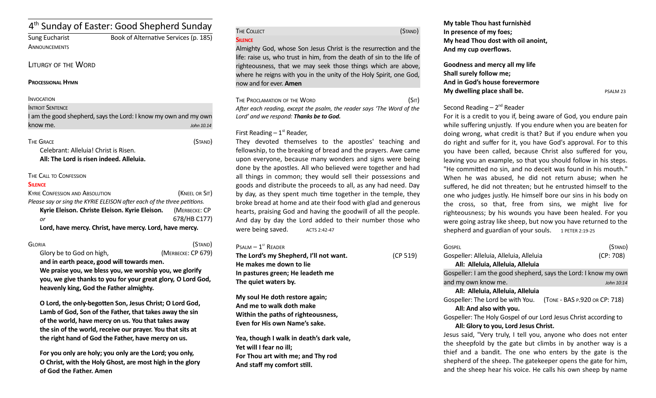# 4<sup>th</sup> Sunday of Easter: Good Shepherd Sunday

**ANNOUNCEMENTS** 

Sung Eucharist Book of Alternatve Services (p. 185)

## LITURGY OF THE WORD

### **PROCESSIONAL HYMN**

## **INVOCATION**

| <b>INTROIT SENTENCE</b>                                         |            |
|-----------------------------------------------------------------|------------|
| I am the good shepherd, says the Lord: I know my own and my own |            |
| know me.                                                        | John 10.14 |

The Grace (Stand) Celebrant: Alleluia! Christ is Risen.

**All: The Lord is risen indeed. Alleluia.** 

## THE CALL TO CONFESSION

### **SILENCE**

| <b>KYRIE CONFESSION AND ABSOLUTION</b>                                  | (KNEEL OR SIT) |
|-------------------------------------------------------------------------|----------------|
| Please say or sing the KYRIE ELEISON after each of the three petitions. |                |
| Kyrie Eleison. Christe Eleison. Kyrie Eleison.                          | (MERBECKE: CP  |
| or                                                                      | 678/HB C177)   |
| Lord, have mercy. Christ, have mercy. Lord, have mercy.                 |                |

GLORIA (STAND) Glory be to God on high, *(MERBECKE: CP 679)* **and in earth peace, good will towards men.** 

**We praise you, we bless you, we worship you, we glorify you, we give thanks to you for your great glory, O Lord God, heavenly king, God the Father almighty.** 

**O Lord, the only-begoten Son, Jesus Christ; O Lord God, Lamb of God, Son of the Father, that takes away the sin of the world, have mercy on us. You that takes away the sin of the world, receive our prayer. You that sits at the right hand of God the Father, have mercy on us.** 

**For you only are holy; you only are the Lord; you only, O Christ, with the Holy Ghost, are most high in the glory of God the Father. Amen**

| THE COLLECT | (STAND) |
|-------------|---------|
| SILENCE     |         |

Almighty God, whose Son Jesus Christ is the resurrecton and the life: raise us, who trust in him, from the death of sin to the life of righteousness, that we may seek those things which are above, where he reigns with you in the unity of the Holy Spirit, one God, now and for ever. **Amen**

| The Proclamation of the Word                                           |  | (SIT) |
|------------------------------------------------------------------------|--|-------|
| After each reading, except the psalm, the reader says 'The Word of the |  |       |
| Lord' and we respond: <b>Thanks be to God.</b>                         |  |       |

## First Reading  $-1<sup>st</sup>$  Reader,

They devoted themselves to the apostles' teaching and fellowship, to the breaking of bread and the prayers. Awe came upon everyone, because many wonders and signs were being done by the apostles. All who believed were together and had all things in common; they would sell their possessions and goods and distribute the proceeds to all, as any had need. Day by day, as they spent much time together in the temple, they broke bread at home and ate their food with glad and generous hearts, praising God and having the goodwill of all the people. And day by day the Lord added to their number those who were being saved.  $ACTS 2:42-47$ 

 $P$ SALM  $-1$ <sup>ST</sup> READER

| The Lord's my Shepherd, I'll not want. | (CP 519) |
|----------------------------------------|----------|
| He makes me down to lie                |          |
| In pastures green; He leadeth me       |          |
| The quiet waters by.                   |          |
| Material the shedding advance a catalo |          |

**My soul He doth restore again; And me to walk doth make Within the paths of righteousness, Even for His own Name's sake.**

**Yea, though I walk in death's dark vale, Yet will I fear no ill; For Thou art with me; and Thy rod And staff my comfort still.**

**My table Thou hast furnishèd In presence of my foes; My head Thou dost with oil anoint, And my cup overflows.**

**Goodness and mercy all my life Shall surely follow me; And in God's house forevermore My dwelling place shall be.** PSALM 23

## Second Reading  $-2^{nd}$  Reader

For it is a credit to you if, being aware of God, you endure pain while suffering unjustly. If you endure when you are beaten for doing wrong, what credit is that? But if you endure when you do right and sufer for it, you have God's approval. For to this you have been called, because Christ also sufered for you, leaving you an example, so that you should follow in his steps. "He commited no sin, and no deceit was found in his mouth." When he was abused, he did not return abuse; when he suffered, he did not threaten; but he entrusted himself to the one who judges justly. He himself bore our sins in his body on the cross, so that, free from sins, we might live for righteousness; by his wounds you have been healed. For you were going astray like sheep, but now you have returned to the shepherd and guardian of your souls.  $1$  PETER 2:19-25

| Gospfi                                                            | (STAND)    |
|-------------------------------------------------------------------|------------|
| Gospeller: Alleluia, Alleluia, Alleluia                           | (CP: 708)  |
| All: Alleluia, Alleluia, Alleluia                                 |            |
| Gospeller: I am the good shepherd, says the Lord: I know my own   |            |
| and my own know me.                                               | John 10:14 |
| All: Alleluia, Alleluia, Alleluia                                 |            |
| (TONE - BAS P.920 OR CP: 718)<br>Gospeller: The Lord be with You. |            |
| All: And also with you.                                           |            |
| Gospeller: The Holy Gospel of our Lord Jesus Christ according to  |            |
| All: Glory to you, Lord Jesus Christ.                             |            |
| Jesus said, "Very truly, I tell you, anyone who does not enter    |            |
| the sheepfold by the gate but climbs in by another way is a       |            |

thief and a bandit. The one who enters by the gate is the shepherd of the sheep. The gatekeeper opens the gate for him, and the sheep hear his voice. He calls his own sheep by name